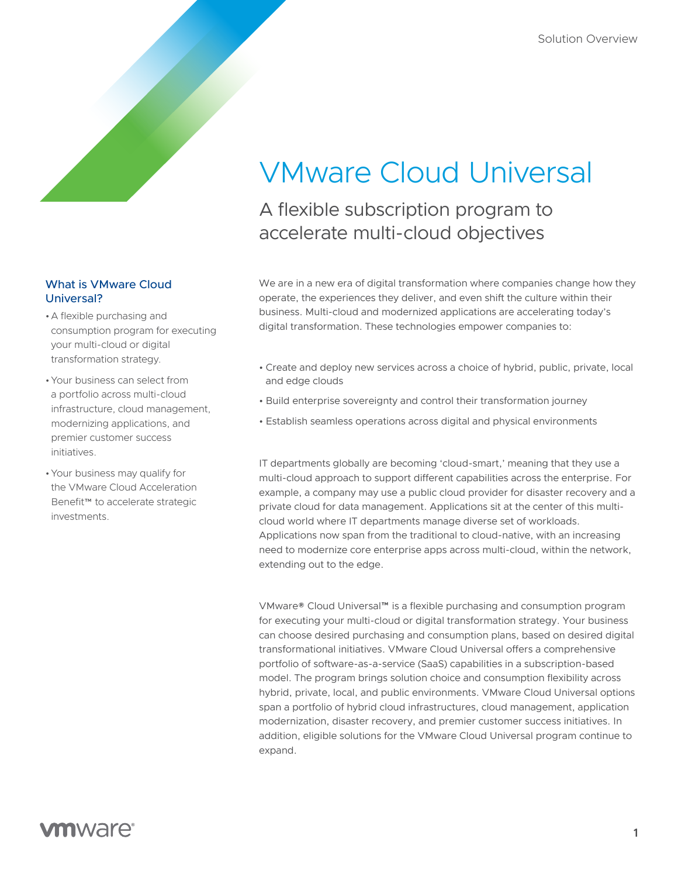# VMware Cloud Universal

A flexible subscription program to accelerate multi-cloud objectives

We are in a new era of digital transformation where companies change how they operate, the experiences they deliver, and even shift the culture within their business. Multi-cloud and modernized applications are accelerating today's digital transformation. These technologies empower companies to:

- Create and deploy new services across a choice of hybrid, public, private, local and edge clouds
- Build enterprise sovereignty and control their transformation journey
- Establish seamless operations across digital and physical environments

IT departments globally are becoming 'cloud-smart,' meaning that they use a multi-cloud approach to support different capabilities across the enterprise. For example, a company may use a public cloud provider for disaster recovery and a private cloud for data management. Applications sit at the center of this multicloud world where IT departments manage diverse set of workloads. Applications now span from the traditional to cloud-native, with an increasing need to modernize core enterprise apps across multi-cloud, within the network, extending out to the edge.

VMware® Cloud Universal™ is a flexible purchasing and consumption program for executing your multi-cloud or digital transformation strategy. Your business can choose desired purchasing and consumption plans, based on desired digital transformational initiatives. VMware Cloud Universal offers a comprehensive portfolio of software-as-a-service (SaaS) capabilities in a subscription-based model. The program brings solution choice and consumption flexibility across hybrid, private, local, and public environments. VMware Cloud Universal options span a portfolio of hybrid cloud infrastructures, cloud management, application modernization, disaster recovery, and premier customer success initiatives. In addition, eligible solutions for the VMware Cloud Universal program continue to expand.

## What is VMware Cloud Universal?

- •A flexible purchasing and consumption program for executing your multi-cloud or digital transformation strategy.
- •Your business can select from a portfolio across multi-cloud infrastructure, cloud management, modernizing applications, and premier customer success initiatives.
- •Your business may qualify for the VMware Cloud Acceleration Benefit™ to accelerate strategic investments.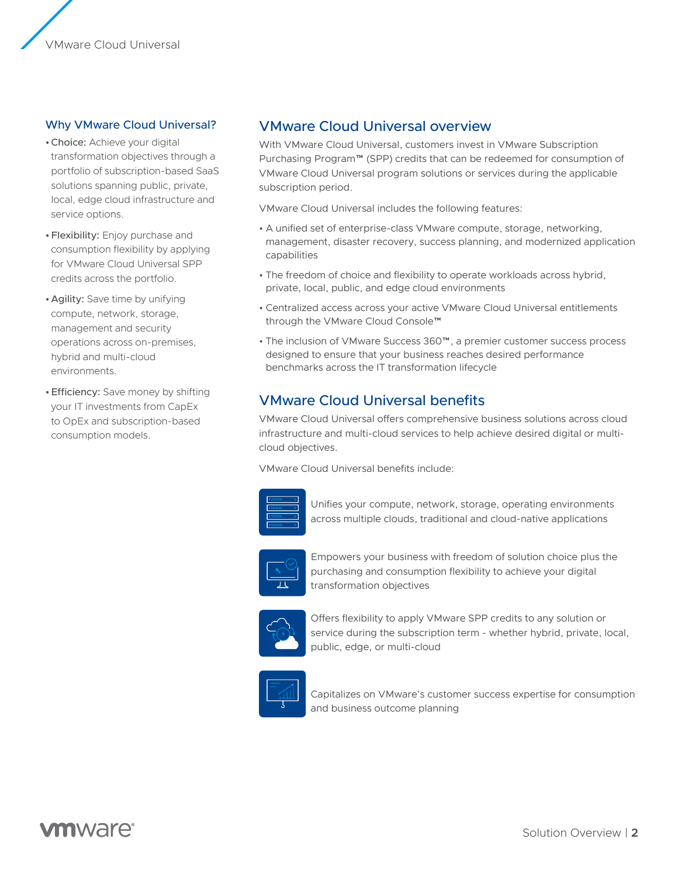

### Why VMware Cloud Universal?

- •Choice: Achieve your digital transformation objectives through a portfolio of subscription-based SaaS solutions spanning public, private, local, edge cloud infrastructure and service options.
- •Flexibility: Enjoy purchase and consumption flexibility by applying for VMware Cloud Universal SPP credits across the portfolio.
- •Agility: Save time by unifying compute, network, storage, management and security operations across on-premises, hybrid and multi-cloud environments.
- •Efficiency: Save money by shifting your IT investments from CapEx to OpEx and subscription-based consumption models.

# VMware Cloud Universal overview

With VMware Cloud Universal, customers invest in VMware Subscription Purchasing Program™ (SPP) credits that can be redeemed for consumption of VMware Cloud Universal program solutions or services during the applicable subscription period.

VMware Cloud Universal includes the following features:

- A unified set of enterprise-class VMware compute, storage, networking, management, disaster recovery, success planning, and modernized application capabilities
- The freedom of choice and flexibility to operate workloads across hybrid, private, local, public, and edge cloud environments
- Centralized access across your active VMware Cloud Universal entitlements through the VMware Cloud Console™
- The inclusion of VMware Success 360™, a premier customer success process designed to ensure that your business reaches desired performance benchmarks across the IT transformation lifecycle

# VMware Cloud Universal benefits

VMware Cloud Universal offers comprehensive business solutions across cloud infrastructure and multi-cloud services to help achieve desired digital or multicloud objectives.

VMware Cloud Universal benefits include:



Unifies your compute, network, storage, operating environments across multiple clouds, traditional and cloud-native applications



Empowers your business with freedom of solution choice plus the purchasing and consumption flexibility to achieve your digital transformation objectives



Offers flexibility to apply VMware SPP credits to any solution or service during the subscription term - whether hybrid, private, local, public, edge, or multi-cloud



Capitalizes on VMware's customer success expertise for consumption and business outcome planning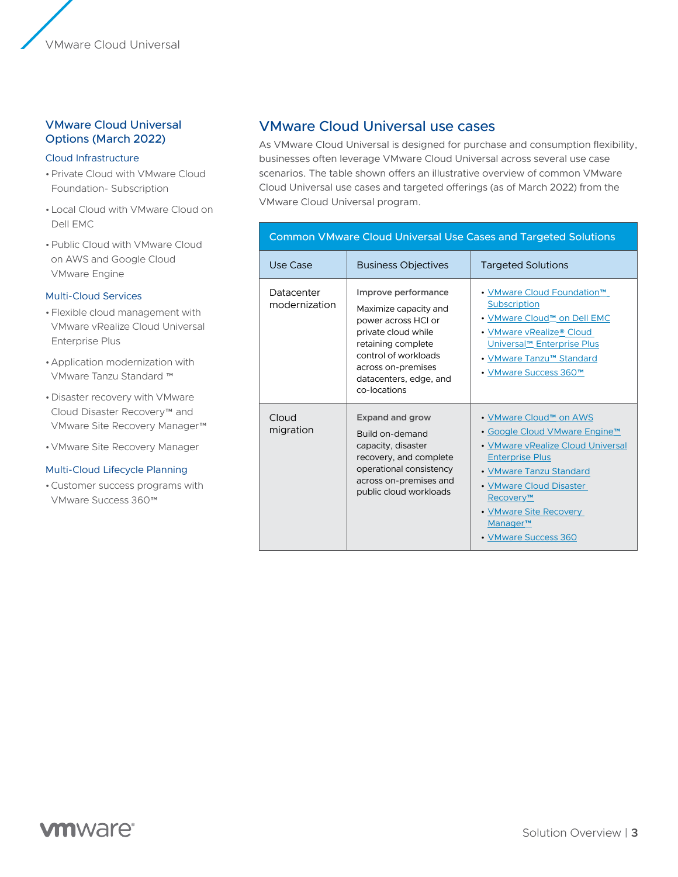# VMware Cloud Universal Options (March 2022)

#### Cloud Infrastructure

- •Private Cloud with VMware Cloud Foundation- Subscription
- •Local Cloud with VMware Cloud on Dell EMC
- •Public Cloud with VMware Cloud on AWS and Google Cloud VMware Engine

#### Multi-Cloud Services

- •Flexible cloud management with VMware vRealize Cloud Universal Enterprise Plus
- •Application modernization with VMware Tanzu Standard ™
- •Disaster recovery with VMware Cloud Disaster Recovery™ and VMware Site Recovery Manager™
- •VMware Site Recovery Manager

#### Multi-Cloud Lifecycle Planning

•Customer success programs with VMware Success 360™

# VMware Cloud Universal use cases

As VMware Cloud Universal is designed for purchase and consumption flexibility, businesses often leverage VMware Cloud Universal across several use case scenarios. The table shown offers an illustrative overview of common VMware Cloud Universal use cases and targeted offerings (as of March 2022) from the VMware Cloud Universal program.

#### Common VMware Cloud Universal Use Cases and Targeted Solutions Use Case Subsiness Objectives Targeted Solutions Datacenter modernization **Improve performance** Maximize capacity and power across HCI or private cloud while retaining complete control of workloads across on-premises datacenters, edge, and co-locations • [VMware Cloud Foundation™](https://www.vmware.com/products/cloud-foundation.html) **[Subscription](https://www.vmware.com/products/cloud-foundation.html)** • [VMware Cloud™ on Dell EMC](https://www.vmware.com/products/vmc-on-dell-emc.html) • [VMware vRealize](https://www.vmware.com/products/vrealize-cloud-universal.html)® Cloud [Universal™ Enterprise Plus](https://www.vmware.com/products/vrealize-cloud-universal.html) • [VMware Tanzu™ Standard](https://www.vmware.com/cloud-solutions/app-modernization.html) • [VMware Success 360™](https://www.vmware.com/customer-success.html) Cloud migration **Expand and grow** Build on-demand capacity, disaster recovery, and complete operational consistency across on-premises and public cloud workloads • [VMware Cloud™ on AWS](https://www.vmware.com/cloud-solutions/google-cloud.html) • [Google Cloud VMware Engine™](https://www.vmware.com/cloud-solutions/google-cloud.html) • [VMware vRealize Cloud Universal](https://www.vmware.com/products/vrealize-cloud-universal.html)  [Enterprise Plus](https://www.vmware.com/products/vrealize-cloud-universal.html) • [VMware Tanzu Standard](https://www.vmware.com/cloud-solutions/app-modernization.html) • [VMware Cloud Disaster](https://www.vmware.com/products/cloud-disaster-recovery.html)  [Recovery™](https://www.vmware.com/products/cloud-disaster-recovery.html) • [VMware Site Recovery](https://www.vmware.com/products/site-recovery-manager.html)  Manager<sup>™</sup>

# **vm**ware<sup>®</sup>

• [VMware Success 360](https://www.vmware.com/customer-success.html)